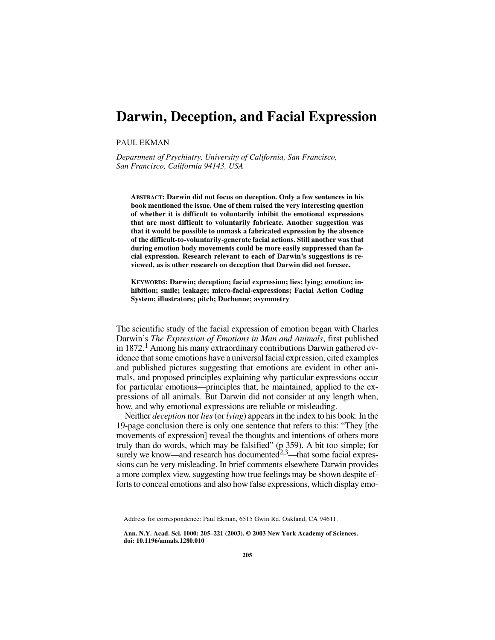# **Darwin, Deception, and Facial Expression**

PAUL EKMAN

*Department of Psychiatry, University of California, San Francisco, San Francisco, California 94143, USA*

**ABSTRACT: Darwin did not focus on deception. Only a few sentences in his book mentioned the issue. One of them raised the very interesting question of whether it is difficult to voluntarily inhibit the emotional expressions that are most difficult to voluntarily fabricate. Another suggestion was that it would be possible to unmask a fabricated expression by the absence of the difficult-to-voluntarily-generate facial actions. Still another was that during emotion body movements could be more easily suppressed than facial expression. Research relevant to each of Darwin's suggestions is reviewed, as is other research on deception that Darwin did not foresee.**

**KEYWORDS: Darwin; deception; facial expression; lies; lying; emotion; inhibition; smile; leakage; micro-facial-expressions; Facial Action Coding System; illustrators; pitch; Duchenne; asymmetry**

The scientific study of the facial expression of emotion began with Charles Darwin's *The Expression of Emotions in Man and Animals*, first published in 1872.<sup>1</sup> Among his many extraordinary contributions Darwin gathered evidence that some emotions have a universal facial expression, cited examples and published pictures suggesting that emotions are evident in other animals, and proposed principles explaining why particular expressions occur for particular emotions—principles that, he maintained, applied to the expressions of all animals. But Darwin did not consider at any length when, how, and why emotional expressions are reliable or misleading.

Neither *deception* nor *lies* (or *lying*) appears in the index to his book. In the 19-page conclusion there is only one sentence that refers to this: "They [the movements of expression] reveal the thoughts and intentions of others more truly than do words, which may be falsified" (p 359). A bit too simple; for surely we know—and research has documented<sup>2,3</sup>—that some facial expressions can be very misleading. In brief comments elsewhere Darwin provides a more complex view, suggesting how true feelings may be shown despite efforts to conceal emotions and also how false expressions, which display emo-

Address for correspondence: Paul Ekman, 6515 Gwin Rd. Oakland, CA 94611.

**Ann. N.Y. Acad. Sci. 1000: 205–221 (2003). © 2003 New York Academy of Sciences. doi: 10.1196/annals.1280.010**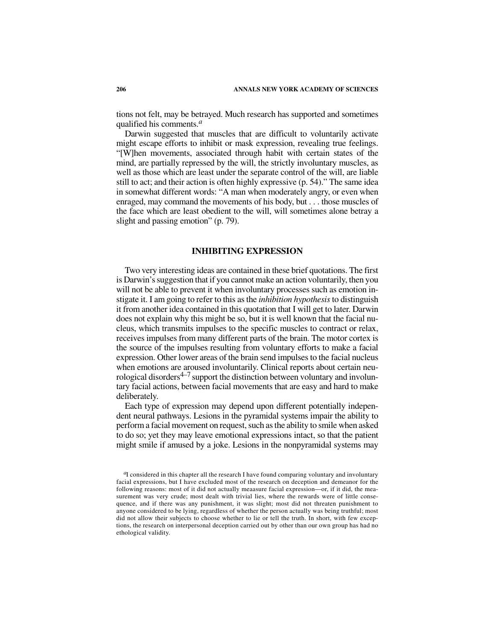tions not felt, may be betrayed. Much research has supported and sometimes qualified his comments.*<sup>a</sup>*

Darwin suggested that muscles that are difficult to voluntarily activate might escape efforts to inhibit or mask expression, revealing true feelings. "[W]hen movements, associated through habit with certain states of the mind, are partially repressed by the will, the strictly involuntary muscles, as well as those which are least under the separate control of the will, are liable still to act; and their action is often highly expressive (p. 54)." The same idea in somewhat different words: "A man when moderately angry, or even when enraged, may command the movements of his body, but . . . those muscles of the face which are least obedient to the will, will sometimes alone betray a slight and passing emotion" (p. 79).

# **INHIBITING EXPRESSION**

Two very interesting ideas are contained in these brief quotations. The first is Darwin's suggestion that if you cannot make an action voluntarily, then you will not be able to prevent it when involuntary processes such as emotion instigate it. I am going to refer to this as the *inhibition hypothesis* to distinguish it from another idea contained in this quotation that I will get to later. Darwin does not explain why this might be so, but it is well known that the facial nucleus, which transmits impulses to the specific muscles to contract or relax, receives impulses from many different parts of the brain. The motor cortex is the source of the impulses resulting from voluntary efforts to make a facial expression. Other lower areas of the brain send impulses to the facial nucleus when emotions are aroused involuntarily. Clinical reports about certain neurological disorders $4-7$  support the distinction between voluntary and involuntary facial actions, between facial movements that are easy and hard to make deliberately.

Each type of expression may depend upon different potentially independent neural pathways. Lesions in the pyramidal systems impair the ability to perform a facial movement on request, such as the ability to smile when asked to do so; yet they may leave emotional expressions intact, so that the patient might smile if amused by a joke. Lesions in the nonpyramidal systems may

*<sup>a</sup>*I considered in this chapter all the research I have found comparing voluntary and involuntary facial expressions, but I have excluded most of the research on deception and demeanor for the following reasons: most of it did not actually meaasure facial expression—or, if it did, the measurement was very crude; most dealt with trivial lies, where the rewards were of little consequence, and if there was any punishment, it was slight; most did not threaten punishment to anyone considered to be lying, regardless of whether the person actually was being truthful; most did not allow their subjects to choose whether to lie or tell the truth. In short, with few exceptions, the research on interpersonal deception carried out by other than our own group has had no ethological validity.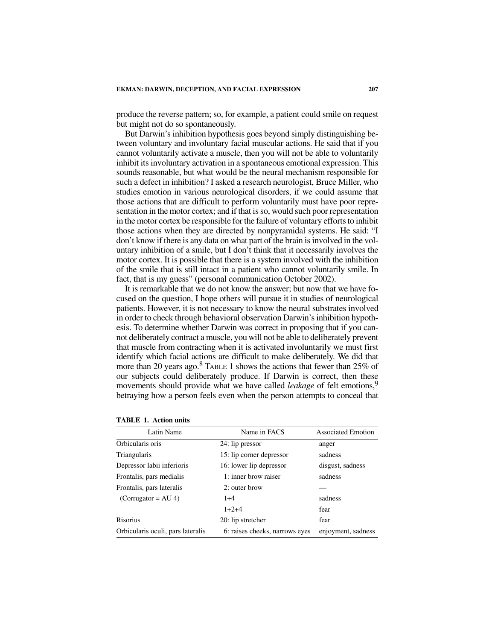produce the reverse pattern; so, for example, a patient could smile on request but might not do so spontaneously.

But Darwin's inhibition hypothesis goes beyond simply distinguishing between voluntary and involuntary facial muscular actions. He said that if you cannot voluntarily activate a muscle, then you will not be able to voluntarily inhibit its involuntary activation in a spontaneous emotional expression. This sounds reasonable, but what would be the neural mechanism responsible for such a defect in inhibition? I asked a research neurologist, Bruce Miller, who studies emotion in various neurological disorders, if we could assume that those actions that are difficult to perform voluntarily must have poor representation in the motor cortex; and if that is so, would such poor representation in the motor cortex be responsible for the failure of voluntary efforts to inhibit those actions when they are directed by nonpyramidal systems. He said: "I don't know if there is any data on what part of the brain is involved in the voluntary inhibition of a smile, but I don't think that it necessarily involves the motor cortex. It is possible that there is a system involved with the inhibition of the smile that is still intact in a patient who cannot voluntarily smile. In fact, that is my guess" (personal communication October 2002).

It is remarkable that we do not know the answer; but now that we have focused on the question, I hope others will pursue it in studies of neurological patients. However, it is not necessary to know the neural substrates involved in order to check through behavioral observation Darwin's inhibition hypothesis. To determine whether Darwin was correct in proposing that if you cannot deliberately contract a muscle, you will not be able to deliberately prevent that muscle from contracting when it is activated involuntarily we must first identify which facial actions are difficult to make deliberately. We did that more than 20 years ago.<sup>8</sup> TABLE 1 shows the actions that fewer than 25% of our subjects could deliberately produce. If Darwin is correct, then these movements should provide what we have called *leakage* of felt emotions,<sup>9</sup> betraying how a person feels even when the person attempts to conceal that

| Latin Name                        | Name in FACS                   | <b>Associated Emotion</b> |
|-----------------------------------|--------------------------------|---------------------------|
| Orbicularis oris                  | 24: lip pressor                | anger                     |
| Triangularis                      | 15: lip corner depressor       | sadness                   |
| Depressor labii inferioris        | 16: lower lip depressor        | disgust, sadness          |
| Frontalis, pars medialis          | 1: inner brow raiser           | sadness                   |
| Frontalis, pars lateralis         | 2: outer brow                  |                           |
| (Corrugator = $AU$ 4)             | $1+4$                          | sadness                   |
|                                   | $1+2+4$                        | fear                      |
| Risorius                          | 20: lip stretcher              | fear                      |
| Orbicularis oculi, pars lateralis | 6: raises cheeks, narrows eyes | enjoyment, sadness        |

#### **TABLE 1. Action units**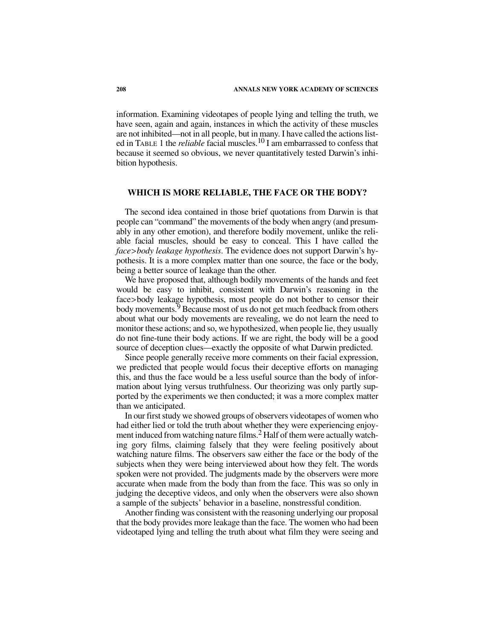information. Examining videotapes of people lying and telling the truth, we have seen, again and again, instances in which the activity of these muscles are not inhibited—not in all people, but in many. I have called the actions listed in TABLE 1 the *reliable* facial muscles.10 I am embarrassed to confess that because it seemed so obvious, we never quantitatively tested Darwin's inhibition hypothesis.

# **WHICH IS MORE RELIABLE, THE FACE OR THE BODY?**

The second idea contained in those brief quotations from Darwin is that people can "command" the movements of the body when angry (and presumably in any other emotion), and therefore bodily movement, unlike the reliable facial muscles, should be easy to conceal. This I have called the *face*>*body leakage hypothesis*. The evidence does not support Darwin's hypothesis. It is a more complex matter than one source, the face or the body, being a better source of leakage than the other.

We have proposed that, although bodily movements of the hands and feet would be easy to inhibit, consistent with Darwin's reasoning in the face>body leakage hypothesis, most people do not bother to censor their body movements.<sup>9</sup> Because most of us do not get much feedback from others about what our body movements are revealing, we do not learn the need to monitor these actions; and so, we hypothesized, when people lie, they usually do not fine-tune their body actions. If we are right, the body will be a good source of deception clues—exactly the opposite of what Darwin predicted.

Since people generally receive more comments on their facial expression, we predicted that people would focus their deceptive efforts on managing this, and thus the face would be a less useful source than the body of information about lying versus truthfulness. Our theorizing was only partly supported by the experiments we then conducted; it was a more complex matter than we anticipated.

In our first study we showed groups of observers videotapes of women who had either lied or told the truth about whether they were experiencing enjoyment induced from watching nature films.<sup>2</sup> Half of them were actually watching gory films, claiming falsely that they were feeling positively about watching nature films. The observers saw either the face or the body of the subjects when they were being interviewed about how they felt. The words spoken were not provided. The judgments made by the observers were more accurate when made from the body than from the face. This was so only in judging the deceptive videos, and only when the observers were also shown a sample of the subjects' behavior in a baseline, nonstressful condition.

Another finding was consistent with the reasoning underlying our proposal that the body provides more leakage than the face. The women who had been videotaped lying and telling the truth about what film they were seeing and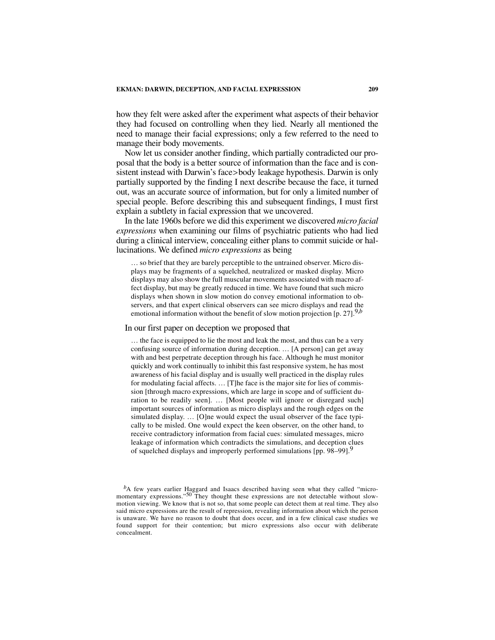how they felt were asked after the experiment what aspects of their behavior they had focused on controlling when they lied. Nearly all mentioned the need to manage their facial expressions; only a few referred to the need to manage their body movements.

Now let us consider another finding, which partially contradicted our proposal that the body is a better source of information than the face and is consistent instead with Darwin's face>body leakage hypothesis. Darwin is only partially supported by the finding I next describe because the face, it turned out, was an accurate source of information, but for only a limited number of special people. Before describing this and subsequent findings, I must first explain a subtlety in facial expression that we uncovered.

In the late 1960s before we did this experiment we discovered *micro facial expressions* when examining our films of psychiatric patients who had lied during a clinical interview, concealing either plans to commit suicide or hallucinations. We defined *micro expressions* as being

… so brief that they are barely perceptible to the untrained observer. Micro displays may be fragments of a squelched, neutralized or masked display. Micro displays may also show the full muscular movements associated with macro affect display, but may be greatly reduced in time. We have found that such micro displays when shown in slow motion do convey emotional information to observers, and that expert clinical observers can see micro displays and read the emotional information without the benefit of slow motion projection  $[p. 27]$ .<sup>9,*b*</sup>

#### In our first paper on deception we proposed that

… the face is equipped to lie the most and leak the most, and thus can be a very confusing source of information during deception. … [A person] can get away with and best perpetrate deception through his face. Although he must monitor quickly and work continually to inhibit this fast responsive system, he has most awareness of his facial display and is usually well practiced in the display rules for modulating facial affects. … [T]he face is the major site for lies of commission [through macro expressions, which are large in scope and of sufficient duration to be readily seen]. … [Most people will ignore or disregard such] important sources of information as micro displays and the rough edges on the simulated display. … [O]ne would expect the usual observer of the face typically to be misled. One would expect the keen observer, on the other hand, to receive contradictory information from facial cues: simulated messages, micro leakage of information which contradicts the simulations, and deception clues of squelched displays and improperly performed simulations [pp. 98–99].9

*<sup>b</sup>*A few years earlier Haggard and Isaacs described having seen what they called "micromomentary expressions."<sup>50</sup> They thought these expressions are not detectable without slowmotion viewing. We know that is not so, that some people can detect them at real time. They also said micro expressions are the result of repression, revealing information about which the person is unaware. We have no reason to doubt that does occur, and in a few clinical case studies we found support for their contention; but micro expressions also occur with deliberate concealment.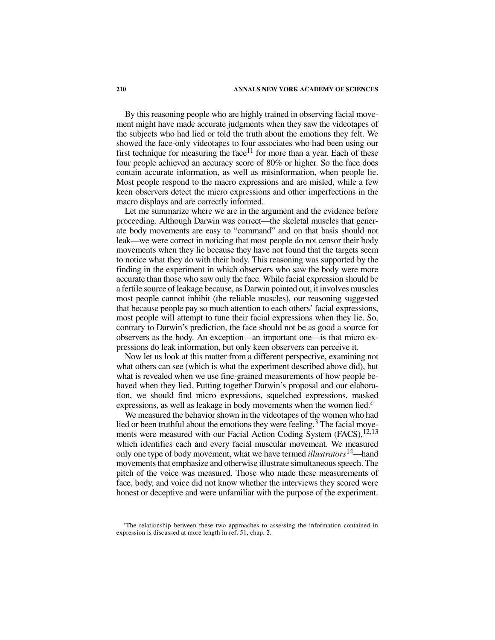By this reasoning people who are highly trained in observing facial movement might have made accurate judgments when they saw the videotapes of the subjects who had lied or told the truth about the emotions they felt. We showed the face-only videotapes to four associates who had been using our first technique for measuring the face<sup>11</sup> for more than a year. Each of these four people achieved an accuracy score of 80% or higher. So the face does contain accurate information, as well as misinformation, when people lie. Most people respond to the macro expressions and are misled, while a few keen observers detect the micro expressions and other imperfections in the macro displays and are correctly informed.

Let me summarize where we are in the argument and the evidence before proceeding. Although Darwin was correct—the skeletal muscles that generate body movements are easy to "command" and on that basis should not leak—we were correct in noticing that most people do not censor their body movements when they lie because they have not found that the targets seem to notice what they do with their body. This reasoning was supported by the finding in the experiment in which observers who saw the body were more accurate than those who saw only the face. While facial expression should be a fertile source of leakage because, as Darwin pointed out, it involves muscles most people cannot inhibit (the reliable muscles), our reasoning suggested that because people pay so much attention to each others' facial expressions, most people will attempt to tune their facial expressions when they lie. So, contrary to Darwin's prediction, the face should not be as good a source for observers as the body. An exception—an important one—is that micro expressions do leak information, but only keen observers can perceive it.

Now let us look at this matter from a different perspective, examining not what others can see (which is what the experiment described above did), but what is revealed when we use fine-grained measurements of how people behaved when they lied. Putting together Darwin's proposal and our elaboration, we should find micro expressions, squelched expressions, masked expressions, as well as leakage in body movements when the women lied.*<sup>c</sup>*

We measured the behavior shown in the videotapes of the women who had lied or been truthful about the emotions they were feeling.<sup>3</sup> The facial movements were measured with our Facial Action Coding System (FACS), <sup>12, 13</sup> which identifies each and every facial muscular movement. We measured only one type of body movement, what we have termed *illustrators*14—hand movements that emphasize and otherwise illustrate simultaneous speech. The pitch of the voice was measured. Those who made these measurements of face, body, and voice did not know whether the interviews they scored were honest or deceptive and were unfamiliar with the purpose of the experiment.

*<sup>c</sup>*The relationship between these two approaches to assessing the information contained in expression is discussed at more length in ref. 51, chap. 2.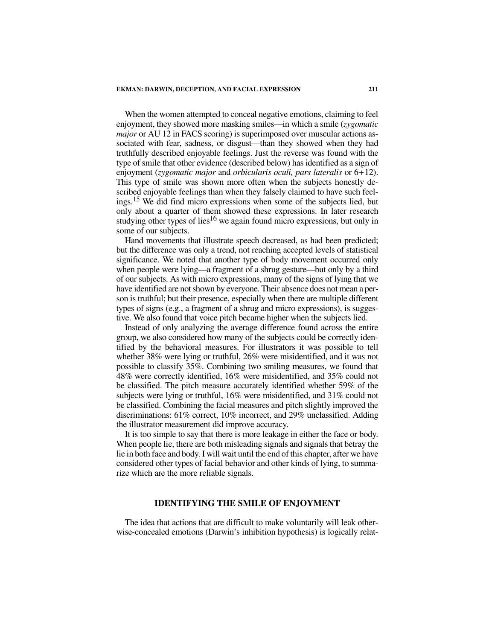When the women attempted to conceal negative emotions, claiming to feel enjoyment, they showed more masking smiles—in which a smile (*zygomatic major* or AU 12 in FACS scoring) is superimposed over muscular actions associated with fear, sadness, or disgust—than they showed when they had truthfully described enjoyable feelings. Just the reverse was found with the type of smile that other evidence (described below) has identified as a sign of enjoyment (*zygomatic major* and *orbicularis oculi, pars lateralis* or 6+12). This type of smile was shown more often when the subjects honestly described enjoyable feelings than when they falsely claimed to have such feelings.15 We did find micro expressions when some of the subjects lied, but only about a quarter of them showed these expressions. In later research studying other types of lies<sup>16</sup> we again found micro expressions, but only in some of our subjects.

Hand movements that illustrate speech decreased, as had been predicted; but the difference was only a trend, not reaching accepted levels of statistical significance. We noted that another type of body movement occurred only when people were lying—a fragment of a shrug gesture—but only by a third of our subjects. As with micro expressions, many of the signs of lying that we have identified are not shown by everyone. Their absence does not mean a person is truthful; but their presence, especially when there are multiple different types of signs (e.g., a fragment of a shrug and micro expressions), is suggestive. We also found that voice pitch became higher when the subjects lied.

Instead of only analyzing the average difference found across the entire group, we also considered how many of the subjects could be correctly identified by the behavioral measures. For illustrators it was possible to tell whether 38% were lying or truthful, 26% were misidentified, and it was not possible to classify 35%. Combining two smiling measures, we found that 48% were correctly identified, 16% were misidentified, and 35% could not be classified. The pitch measure accurately identified whether 59% of the subjects were lying or truthful, 16% were misidentified, and 31% could not be classified. Combining the facial measures and pitch slightly improved the discriminations: 61% correct, 10% incorrect, and 29% unclassified. Adding the illustrator measurement did improve accuracy.

It is too simple to say that there is more leakage in either the face or body. When people lie, there are both misleading signals and signals that betray the lie in both face and body. I will wait until the end of this chapter, after we have considered other types of facial behavior and other kinds of lying, to summarize which are the more reliable signals.

## **IDENTIFYING THE SMILE OF ENJOYMENT**

The idea that actions that are difficult to make voluntarily will leak otherwise-concealed emotions (Darwin's inhibition hypothesis) is logically relat-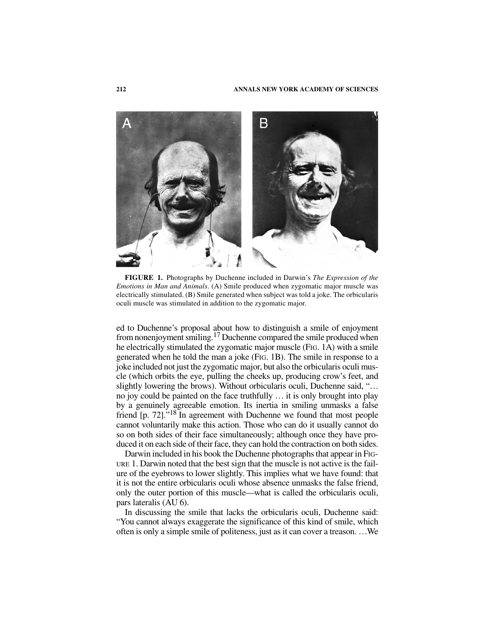

**FIGURE 1.** Photographs by Duchenne included in Darwin's *The Expression of the Emotions in Man and Animals*. (A) Smile produced when zygomatic major muscle was electrically stimulated. (B) Smile generated when subject was told a joke. The orbicularis oculi muscle was stimulated in addition to the zygomatic major.

ed to Duchenne's proposal about how to distinguish a smile of enjoyment from nonenjoyment smiling.17 Duchenne compared the smile produced when he electrically stimulated the zygomatic major muscle (FIG. 1A) with a smile generated when he told the man a joke (FIG. 1B). The smile in response to a joke included not just the zygomatic major, but also the orbicularis oculi muscle (which orbits the eye, pulling the cheeks up, producing crow's feet, and slightly lowering the brows). Without orbicularis oculi, Duchenne said, "… no joy could be painted on the face truthfully … it is only brought into play by a genuinely agreeable emotion. Its inertia in smiling unmasks a false friend [p. 72]."18 In agreement with Duchenne we found that most people cannot voluntarily make this action. Those who can do it usually cannot do so on both sides of their face simultaneously; although once they have produced it on each side of their face, they can hold the contraction on both sides.

Darwin included in his book the Duchenne photographs that appear in FIG-URE 1. Darwin noted that the best sign that the muscle is not active is the failure of the eyebrows to lower slightly. This implies what we have found: that it is not the entire orbicularis oculi whose absence unmasks the false friend, only the outer portion of this muscle—what is called the orbicularis oculi, pars lateralis (AU 6).

In discussing the smile that lacks the orbicularis oculi, Duchenne said: "You cannot always exaggerate the significance of this kind of smile, which often is only a simple smile of politeness, just as it can cover a treason. …We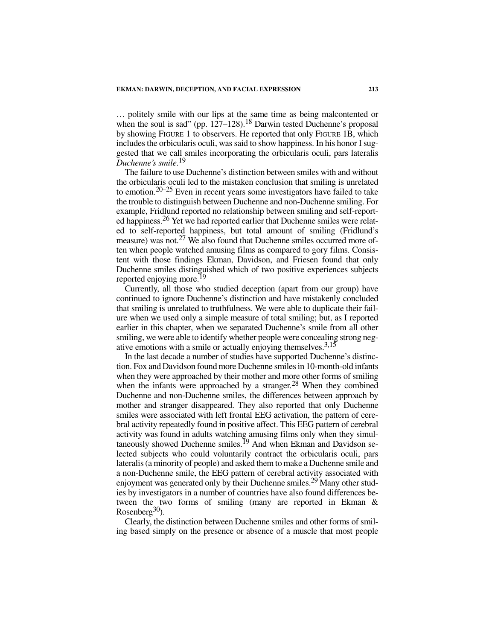… politely smile with our lips at the same time as being malcontented or when the soul is sad" (pp.  $127-128$ ).<sup>18</sup> Darwin tested Duchenne's proposal by showing FIGURE 1 to observers. He reported that only FIGURE 1B, which includes the orbicularis oculi, was said to show happiness. In his honor I suggested that we call smiles incorporating the orbicularis oculi, pars lateralis *Duchenne's smile*. 19

The failure to use Duchenne's distinction between smiles with and without the orbicularis oculi led to the mistaken conclusion that smiling is unrelated to emotion.<sup>20–25</sup> Even in recent years some investigators have failed to take the trouble to distinguish between Duchenne and non-Duchenne smiling. For example, Fridlund reported no relationship between smiling and self-reported happiness.<sup>26</sup> Yet we had reported earlier that Duchenne smiles were related to self-reported happiness, but total amount of smiling (Fridlund's measure) was not.<sup>27</sup> We also found that Duchenne smiles occurred more often when people watched amusing films as compared to gory films. Consistent with those findings Ekman, Davidson, and Friesen found that only Duchenne smiles distinguished which of two positive experiences subjects reported enjoying more.<sup>19</sup>

Currently, all those who studied deception (apart from our group) have continued to ignore Duchenne's distinction and have mistakenly concluded that smiling is unrelated to truthfulness. We were able to duplicate their failure when we used only a simple measure of total smiling; but, as I reported earlier in this chapter, when we separated Duchenne's smile from all other smiling, we were able to identify whether people were concealing strong negative emotions with a smile or actually enjoying themselves.  $3.15$ 

In the last decade a number of studies have supported Duchenne's distinction. Fox and Davidson found more Duchenne smiles in 10-month-old infants when they were approached by their mother and more other forms of smiling when the infants were approached by a stranger.<sup>28</sup> When they combined Duchenne and non-Duchenne smiles, the differences between approach by mother and stranger disappeared. They also reported that only Duchenne smiles were associated with left frontal EEG activation, the pattern of cerebral activity repeatedly found in positive affect. This EEG pattern of cerebral activity was found in adults watching amusing films only when they simultaneously showed Duchenne smiles.<sup>19</sup> And when Ekman and Davidson selected subjects who could voluntarily contract the orbicularis oculi, pars lateralis (a minority of people) and asked them to make a Duchenne smile and a non-Duchenne smile, the EEG pattern of cerebral activity associated with enjoyment was generated only by their Duchenne smiles.<sup>29</sup> Many other studies by investigators in a number of countries have also found differences between the two forms of smiling (many are reported in Ekman & Rosenberg $30$ .

Clearly, the distinction between Duchenne smiles and other forms of smiling based simply on the presence or absence of a muscle that most people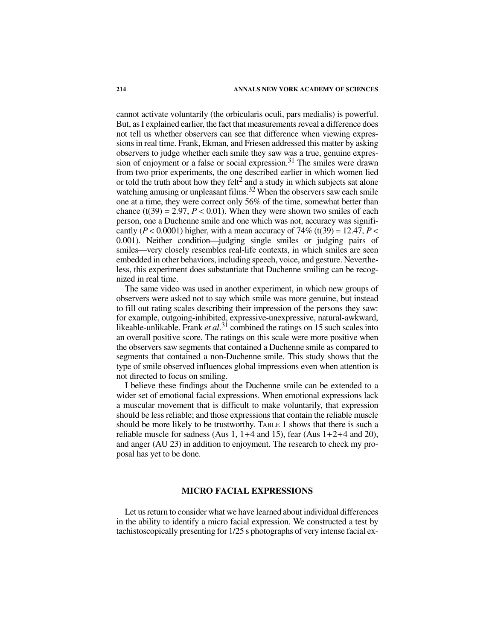cannot activate voluntarily (the orbicularis oculi, pars medialis) is powerful. But, as I explained earlier, the fact that measurements reveal a difference does not tell us whether observers can see that difference when viewing expressions in real time. Frank, Ekman, and Friesen addressed this matter by asking observers to judge whether each smile they saw was a true, genuine expression of enjoyment or a false or social expression.<sup>31</sup> The smiles were drawn from two prior experiments, the one described earlier in which women lied or told the truth about how they felt<sup>2</sup> and a study in which subjects sat alone watching amusing or unpleasant films.<sup>32</sup> When the observers saw each smile one at a time, they were correct only 56% of the time, somewhat better than chance (t(39) = 2.97,  $P < 0.01$ ). When they were shown two smiles of each person, one a Duchenne smile and one which was not, accuracy was significantly (*P* < 0.0001) higher, with a mean accuracy of  $74\%$  (t(39) = 12.47, *P* < 0.001). Neither condition—judging single smiles or judging pairs of smiles—very closely resembles real-life contexts, in which smiles are seen embedded in other behaviors, including speech, voice, and gesture. Nevertheless, this experiment does substantiate that Duchenne smiling can be recognized in real time.

The same video was used in another experiment, in which new groups of observers were asked not to say which smile was more genuine, but instead to fill out rating scales describing their impression of the persons they saw: for example, outgoing-inhibited, expressive-unexpressive, natural-awkward, likeable-unlikable. Frank *et al*. 31 combined the ratings on 15 such scales into an overall positive score. The ratings on this scale were more positive when the observers saw segments that contained a Duchenne smile as compared to segments that contained a non-Duchenne smile. This study shows that the type of smile observed influences global impressions even when attention is not directed to focus on smiling.

I believe these findings about the Duchenne smile can be extended to a wider set of emotional facial expressions. When emotional expressions lack a muscular movement that is difficult to make voluntarily, that expression should be less reliable; and those expressions that contain the reliable muscle should be more likely to be trustworthy. TABLE 1 shows that there is such a reliable muscle for sadness (Aus 1,  $1+4$  and 15), fear (Aus  $1+2+4$  and 20), and anger (AU 23) in addition to enjoyment. The research to check my proposal has yet to be done.

# **MICRO FACIAL EXPRESSIONS**

Let us return to consider what we have learned about individual differences in the ability to identify a micro facial expression. We constructed a test by tachistoscopically presenting for 1/25 s photographs of very intense facial ex-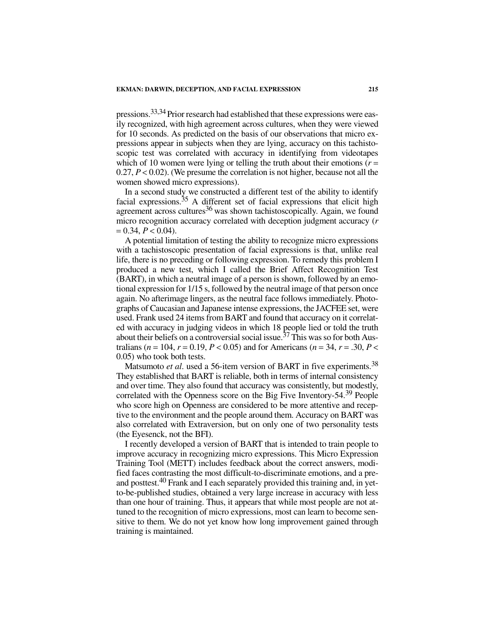pressions.33,34 Prior research had established that these expressions were easily recognized, with high agreement across cultures, when they were viewed for 10 seconds. As predicted on the basis of our observations that micro expressions appear in subjects when they are lying, accuracy on this tachistoscopic test was correlated with accuracy in identifying from videotapes which of 10 women were lying or telling the truth about their emotions  $(r =$ 0.27, *P* < 0.02). (We presume the correlation is not higher, because not all the women showed micro expressions).

In a second study we constructed a different test of the ability to identify facial expressions.<sup>35</sup> A different set of facial expressions that elicit high agreement across cultures $36$  was shown tachistoscopically. Again, we found micro recognition accuracy correlated with deception judgment accuracy (*r*  $= 0.34, P < 0.04$ ).

A potential limitation of testing the ability to recognize micro expressions with a tachistoscopic presentation of facial expressions is that, unlike real life, there is no preceding or following expression. To remedy this problem I produced a new test, which I called the Brief Affect Recognition Test (BART), in which a neutral image of a person is shown, followed by an emotional expression for 1/15 s, followed by the neutral image of that person once again. No afterimage lingers, as the neutral face follows immediately. Photographs of Caucasian and Japanese intense expressions, the JACFEE set, were used. Frank used 24 items from BART and found that accuracy on it correlated with accuracy in judging videos in which 18 people lied or told the truth about their beliefs on a controversial social issue.<sup>37</sup> This was so for both Australians ( $n = 104$ ,  $r = 0.19$ ,  $P < 0.05$ ) and for Americans ( $n = 34$ ,  $r = .30$ ,  $P <$ 0.05) who took both tests.

Matsumoto *et al.* used a 56-item version of BART in five experiments.<sup>38</sup> They established that BART is reliable, both in terms of internal consistency and over time. They also found that accuracy was consistently, but modestly, correlated with the Openness score on the Big Five Inventory-54.<sup>39</sup> People who score high on Openness are considered to be more attentive and receptive to the environment and the people around them. Accuracy on BART was also correlated with Extraversion, but on only one of two personality tests (the Eyesenck, not the BFI).

I recently developed a version of BART that is intended to train people to improve accuracy in recognizing micro expressions. This Micro Expression Training Tool (METT) includes feedback about the correct answers, modified faces contrasting the most difficult-to-discriminate emotions, and a preand posttest.40 Frank and I each separately provided this training and, in yetto-be-published studies, obtained a very large increase in accuracy with less than one hour of training. Thus, it appears that while most people are not attuned to the recognition of micro expressions, most can learn to become sensitive to them. We do not yet know how long improvement gained through training is maintained.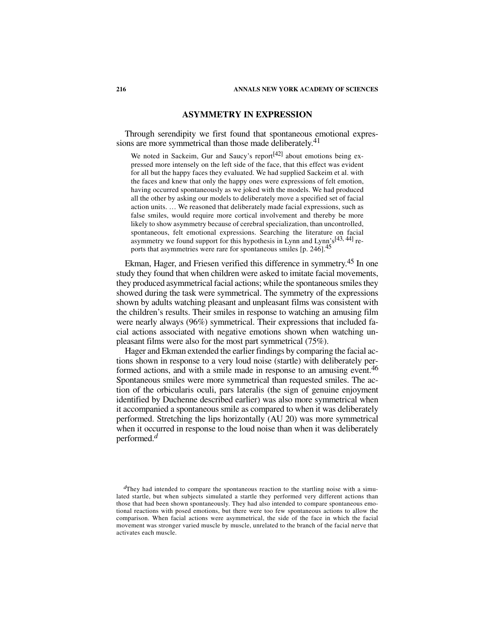### **ASYMMETRY IN EXPRESSION**

Through serendipity we first found that spontaneous emotional expressions are more symmetrical than those made deliberately.<sup>41</sup>

We noted in Sackeim, Gur and Saucy's report<sup>[42]</sup> about emotions being expressed more intensely on the left side of the face, that this effect was evident for all but the happy faces they evaluated. We had supplied Sackeim et al. with the faces and knew that only the happy ones were expressions of felt emotion, having occurred spontaneously as we joked with the models. We had produced all the other by asking our models to deliberately move a specified set of facial action units. … We reasoned that deliberately made facial expressions, such as false smiles, would require more cortical involvement and thereby be more likely to show asymmetry because of cerebral specialization, than uncontrolled, spontaneous, felt emotional expressions. Searching the literature on facial asymmetry we found support for this hypothesis in Lynn and Lynn's[43, 44] reports that asymmetries were rare for spontaneous smiles [p. 246].45

Ekman, Hager, and Friesen verified this difference in symmetry.<sup>45</sup> In one study they found that when children were asked to imitate facial movements, they produced asymmetrical facial actions; while the spontaneous smiles they showed during the task were symmetrical. The symmetry of the expressions shown by adults watching pleasant and unpleasant films was consistent with the children's results. Their smiles in response to watching an amusing film were nearly always (96%) symmetrical. Their expressions that included facial actions associated with negative emotions shown when watching unpleasant films were also for the most part symmetrical (75%).

Hager and Ekman extended the earlier findings by comparing the facial actions shown in response to a very loud noise (startle) with deliberately performed actions, and with a smile made in response to an amusing event.<sup>46</sup> Spontaneous smiles were more symmetrical than requested smiles. The action of the orbicularis oculi, pars lateralis (the sign of genuine enjoyment identified by Duchenne described earlier) was also more symmetrical when it accompanied a spontaneous smile as compared to when it was deliberately performed. Stretching the lips horizontally (AU 20) was more symmetrical when it occurred in response to the loud noise than when it was deliberately performed.*<sup>d</sup>*

*<sup>d</sup>*They had intended to compare the spontaneous reaction to the startling noise with a simulated startle, but when subjects simulated a startle they performed very different actions than those that had been shown spontaneously. They had also intended to compare spontaneous emotional reactions with posed emotions, but there were too few spontaneous actions to allow the comparison. When facial actions were asymmetrical, the side of the face in which the facial movement was stronger varied muscle by muscle, unrelated to the branch of the facial nerve that activates each muscle.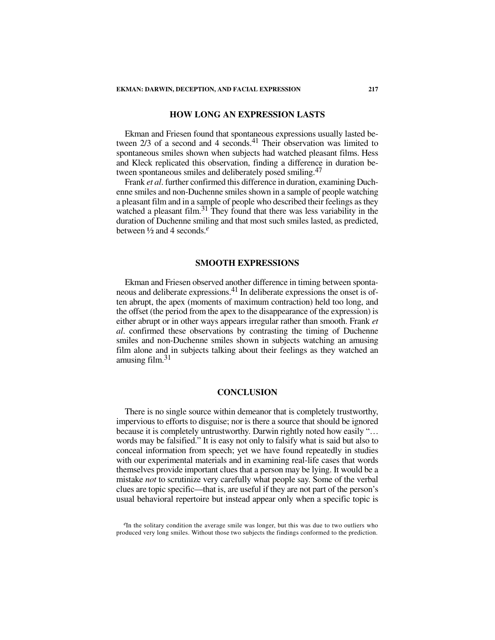### **HOW LONG AN EXPRESSION LASTS**

Ekman and Friesen found that spontaneous expressions usually lasted between 2/3 of a second and 4 seconds.<sup>41</sup> Their observation was limited to spontaneous smiles shown when subjects had watched pleasant films. Hess and Kleck replicated this observation, finding a difference in duration between spontaneous smiles and deliberately posed smiling.<sup>47</sup>

Frank *et al*. further confirmed this difference in duration, examining Duchenne smiles and non-Duchenne smiles shown in a sample of people watching a pleasant film and in a sample of people who described their feelings as they watched a pleasant film.<sup>31</sup> They found that there was less variability in the duration of Duchenne smiling and that most such smiles lasted, as predicted, between ½ and 4 seconds.*<sup>e</sup>*

## **SMOOTH EXPRESSIONS**

Ekman and Friesen observed another difference in timing between spontaneous and deliberate expressions.41 In deliberate expressions the onset is often abrupt, the apex (moments of maximum contraction) held too long, and the offset (the period from the apex to the disappearance of the expression) is either abrupt or in other ways appears irregular rather than smooth. Frank *et al*. confirmed these observations by contrasting the timing of Duchenne smiles and non-Duchenne smiles shown in subjects watching an amusing film alone and in subjects talking about their feelings as they watched an amusing film.31

#### **CONCLUSION**

There is no single source within demeanor that is completely trustworthy, impervious to efforts to disguise; nor is there a source that should be ignored because it is completely untrustworthy. Darwin rightly noted how easily "… words may be falsified." It is easy not only to falsify what is said but also to conceal information from speech; yet we have found repeatedly in studies with our experimental materials and in examining real-life cases that words themselves provide important clues that a person may be lying. It would be a mistake *not* to scrutinize very carefully what people say. Some of the verbal clues are topic specific—that is, are useful if they are not part of the person's usual behavioral repertoire but instead appear only when a specific topic is

*<sup>e</sup>*In the solitary condition the average smile was longer, but this was due to two outliers who produced very long smiles. Without those two subjects the findings conformed to the prediction.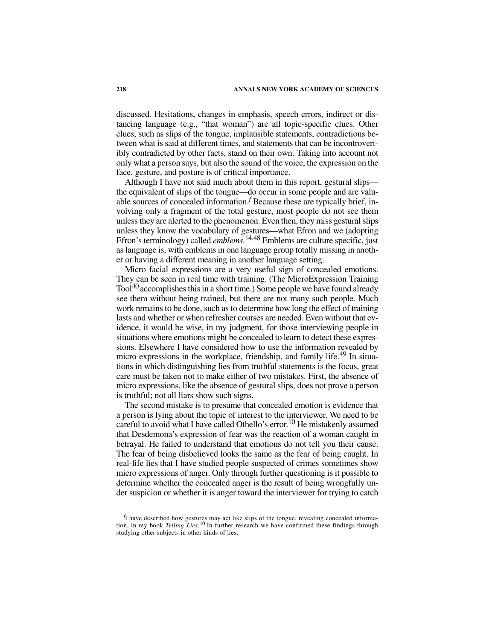discussed. Hesitations, changes in emphasis, speech errors, indirect or distancing language (e.g., "that woman") are all topic-specific clues. Other clues, such as slips of the tongue, implausible statements, contradictions between what is said at different times, and statements that can be incontrovertibly contradicted by other facts, stand on their own. Taking into account not only what a person says, but also the sound of the voice, the expression on the face, gesture, and posture is of critical importance.

Although I have not said much about them in this report, gestural slips the equivalent of slips of the tongue—do occur in some people and are valuable sources of concealed information.*<sup>f</sup>* Because these are typically brief, involving only a fragment of the total gesture, most people do not see them unless they are alerted to the phenomenon. Even then, they miss gestural slips unless they know the vocabulary of gestures—what Efron and we (adopting Efron's terminology) called *emblems*. 14,48 Emblems are culture specific, just as language is, with emblems in one language group totally missing in another or having a different meaning in another language setting.

Micro facial expressions are a very useful sign of concealed emotions. They can be seen in real time with training. (The MicroExpression Training Tool40 accomplishes this in a short time.) Some people we have found already see them without being trained, but there are not many such people. Much work remains to be done, such as to determine how long the effect of training lasts and whether or when refresher courses are needed. Even without that evidence, it would be wise, in my judgment, for those interviewing people in situations where emotions might be concealed to learn to detect these expressions. Elsewhere I have considered how to use the information revealed by micro expressions in the workplace, friendship, and family life.<sup>49</sup> In situations in which distinguishing lies from truthful statements is the focus, great care must be taken not to make either of two mistakes. First, the absence of micro expressions, like the absence of gestural slips, does not prove a person is truthful; not all liars show such signs.

The second mistake is to presume that concealed emotion is evidence that a person is lying about the topic of interest to the interviewer. We need to be careful to avoid what I have called Othello's error.<sup>10</sup> He mistakenly assumed that Desdemona's expression of fear was the reaction of a woman caught in betrayal. He failed to understand that emotions do not tell you their cause. The fear of being disbelieved looks the same as the fear of being caught. In real-life lies that I have studied people suspected of crimes sometimes show micro expressions of anger. Only through further questioning is it possible to determine whether the concealed anger is the result of being wrongfully under suspicion or whether it is anger toward the interviewer for trying to catch

*f* I have described how gestures may act like slips of the tongue, revealing concealed information, in my book *Telling Lies*. 10 In further research we have confirmed these findings through studying other subjects in other kinds of lies.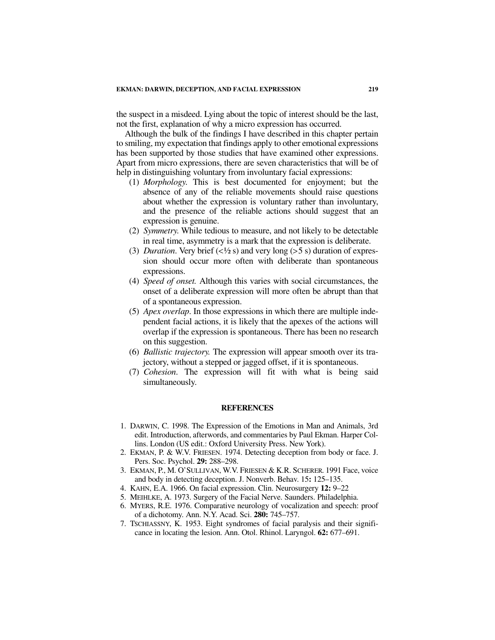the suspect in a misdeed. Lying about the topic of interest should be the last, not the first, explanation of why a micro expression has occurred.

Although the bulk of the findings I have described in this chapter pertain to smiling, my expectation that findings apply to other emotional expressions has been supported by those studies that have examined other expressions. Apart from micro expressions, there are seven characteristics that will be of help in distinguishing voluntary from involuntary facial expressions:

- (1) *Morphology*. This is best documented for enjoyment; but the absence of any of the reliable movements should raise questions about whether the expression is voluntary rather than involuntary, and the presence of the reliable actions should suggest that an expression is genuine.
- (2) *Symmetry*. While tedious to measure, and not likely to be detectable in real time, asymmetry is a mark that the expression is deliberate.
- (3) *Duration*. Very brief  $\left\langle \frac{1}{2} \right\rangle$  and very long  $\left( \frac{5}{5} \right)$  duration of expression should occur more often with deliberate than spontaneous expressions.
- (4) *Speed of onset.* Although this varies with social circumstances, the onset of a deliberate expression will more often be abrupt than that of a spontaneous expression.
- (5) *Apex overlap*. In those expressions in which there are multiple independent facial actions, it is likely that the apexes of the actions will overlap if the expression is spontaneous. There has been no research on this suggestion.
- (6) *Ballistic trajectory.* The expression will appear smooth over its trajectory, without a stepped or jagged offset, if it is spontaneous.
- (7) *Cohesion*. The expression will fit with what is being said simultaneously.

### **REFERENCES**

- 1. DARWIN, C. 1998. The Expression of the Emotions in Man and Animals, 3rd edit. Introduction, afterwords, and commentaries by Paul Ekman. Harper Collins. London (US edit.: Oxford University Press. New York).
- 2. EKMAN, P. & W.V. FRIESEN. 1974. Detecting deception from body or face. J. Pers. Soc. Psychol. **29:** 288–298.
- 3. EKMAN, P., M. O'SULLIVAN, W.V. FRIESEN & K.R. SCHERER. 1991 Face, voice and body in detecting deception. J. Nonverb. Behav. 15**:** 125–135.
- 4. KAHN, E.A. 1966. On facial expression. Clin. Neurosurgery **12:** 9–22
- 5. MEIHLKE, A. 1973. Surgery of the Facial Nerve. Saunders. Philadelphia.
- 6. MYERS, R.E. 1976. Comparative neurology of vocalization and speech: proof of a dichotomy. Ann. N.Y. Acad. Sci. **280:** 745–757.
- 7. TSCHIASSNY, K. 1953. Eight syndromes of facial paralysis and their significance in locating the lesion. Ann. Otol. Rhinol. Laryngol. **62:** 677–691.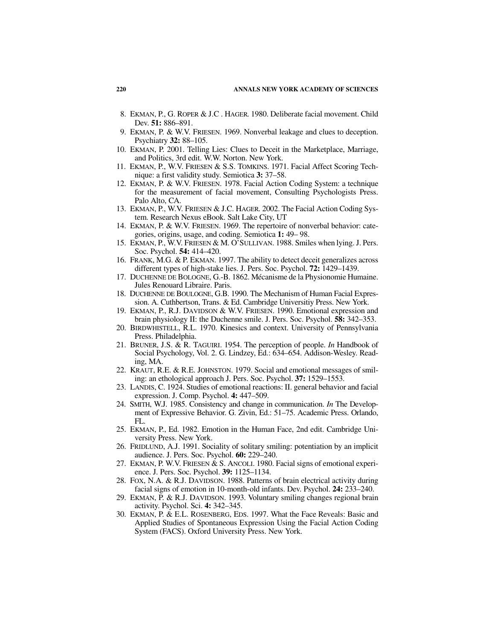- 8. EKMAN, P., G. ROPER & J.C . HAGER. 1980. Deliberate facial movement. Child Dev. **51:** 886–891.
- 9. EKMAN, P. & W.V. FRIESEN. 1969. Nonverbal leakage and clues to deception. Psychiatry **32:** 88–105.
- 10. EKMAN, P. 2001. Telling Lies: Clues to Deceit in the Marketplace, Marriage, and Politics, 3rd edit. W.W. Norton. New York.
- 11. EKMAN, P., W.V. FRIESEN & S.S. TOMKINS. 1971. Facial Affect Scoring Technique: a first validity study. Semiotica **3:** 37–58.
- 12. EKMAN, P. & W.V. FRIESEN. 1978. Facial Action Coding System: a technique for the measurement of facial movement, Consulting Psychologists Press. Palo Alto, CA.
- 13. EKMAN, P., W.V. FRIESEN & J.C. HAGER. 2002. The Facial Action Coding System. Research Nexus eBook. Salt Lake City, UT
- 14. EKMAN, P. & W.V. FRIESEN. 1969. The repertoire of nonverbal behavior: categories, origins, usage, and coding. Semiotica **1:** 49– 98.
- 15. EKMAN, P., W.V. FRIESEN & M. O'SULLIVAN. 1988. Smiles when lying. J. Pers. Soc. Psychol. **54:** 414–420.
- 16. FRANK, M.G. & P. EKMAN. 1997. The ability to detect deceit generalizes across different types of high-stake lies. J. Pers. Soc. Psychol. **72:** 1429–1439.
- 17. DUCHENNE DE BOLOGNE, G.-B. 1862. Mécanisme de la Physionomie Humaine. Jules Renouard Libraire. Paris.
- 18. DUCHENNE DE BOULOGNE, G.B. 1990. The Mechanism of Human Facial Expression. A. Cuthbertson, Trans. & Ed. Cambridge Universitiy Press. New York.
- 19. EKMAN, P., R.J. DAVIDSON & W.V. FRIESEN. 1990. Emotional expression and brain physiology II: the Duchenne smile. J. Pers. Soc. Psychol. **58:** 342–353.
- 20. BIRDWHISTELL, R.L. 1970. Kinesics and context. University of Pennsylvania Press. Philadelphia.
- 21. BRUNER, J.S. & R. TAGUIRI. 1954. The perception of people. *In* Handbook of Social Psychology, Vol. 2. G. Lindzey, Ed.: 634–654. Addison-Wesley. Reading, MA.
- 22. KRAUT, R.E. & R.E. JOHNSTON. 1979. Social and emotional messages of smiling: an ethological approach J. Pers. Soc. Psychol. **37:** 1529–1553.
- 23. LANDIS, C. 1924. Studies of emotional reactions: II. general behavior and facial expression. J. Comp. Psychol. **4:** 447–509.
- 24. SMITH, W.J. 1985. Consistency and change in communication. *In* The Development of Expressive Behavior. G. Zivin, Ed.: 51–75. Academic Press. Orlando, FL.
- 25. EKMAN, P., Ed. 1982. Emotion in the Human Face, 2nd edit. Cambridge University Press. New York.
- 26. FRIDLUND, A.J. 1991. Sociality of solitary smiling: potentiation by an implicit audience. J. Pers. Soc. Psychol. **60:** 229–240.
- 27. EKMAN, P. W.V. FRIESEN & S. ANCOLI. 1980. Facial signs of emotional experience. J. Pers. Soc. Psychol. **39:** 1125–1134.
- 28. FOX, N.A. & R.J. DAVIDSON. 1988. Patterns of brain electrical activity during facial signs of emotion in 10-month-old infants. Dev. Psychol. **24:** 233–240.
- 29. EKMAN, P. & R.J. DAVIDSON. 1993. Voluntary smiling changes regional brain activity. Psychol. Sci. **4:** 342–345.
- 30. EKMAN, P. & E.L. ROSENBERG, EDS. 1997. What the Face Reveals: Basic and Applied Studies of Spontaneous Expression Using the Facial Action Coding System (FACS). Oxford University Press. New York.